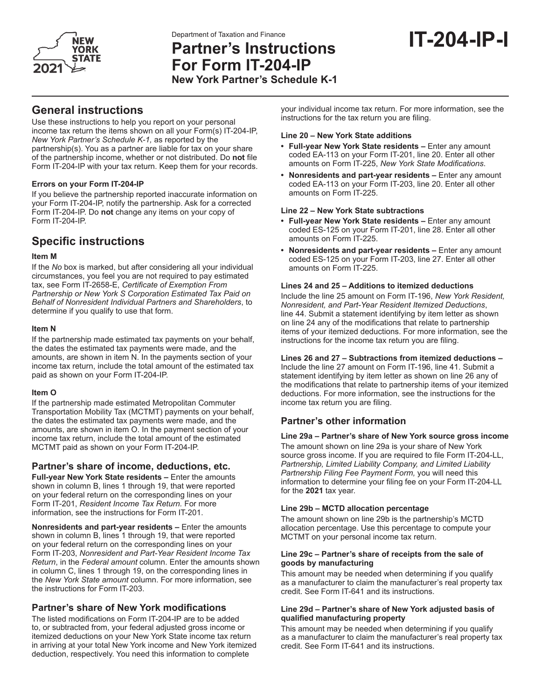

# **IT-204-IP-I** Department of Taxation and Finance **Partner's Instructions For Form IT-204-IP New York Partner's Schedule K-1**

## **General instructions**

Use these instructions to help you report on your personal income tax return the items shown on all your Form(s) IT-204-IP, *New York Partner's Schedule K-1,* as reported by the partnership(s). You as a partner are liable for tax on your share of the partnership income, whether or not distributed. Do **not** file Form IT-204-IP with your tax return. Keep them for your records.

#### **Errors on your Form IT-204-IP**

If you believe the partnership reported inaccurate information on your Form IT-204-IP, notify the partnership. Ask for a corrected Form IT-204-IP. Do **not** change any items on your copy of Form IT-204-IP.

## **Specific instructions**

#### **Item M**

If the *No* box is marked, but after considering all your individual circumstances, you feel you are not required to pay estimated tax, see Form IT-2658-E, *Certificate of Exemption From Partnership or New York S Corporation Estimated Tax Paid on Behalf of Nonresident Individual Partners and Shareholders*, to determine if you qualify to use that form.

#### **Item N**

If the partnership made estimated tax payments on your behalf, the dates the estimated tax payments were made, and the amounts, are shown in item N. In the payments section of your income tax return, include the total amount of the estimated tax paid as shown on your Form IT-204-IP.

#### **Item O**

If the partnership made estimated Metropolitan Commuter Transportation Mobility Tax (MCTMT) payments on your behalf, the dates the estimated tax payments were made, and the amounts, are shown in item O. In the payment section of your income tax return, include the total amount of the estimated MCTMT paid as shown on your Form IT-204-IP.

### **Partner's share of income, deductions, etc.**

**Full-year New York State residents –** Enter the amounts shown in column B, lines 1 through 19, that were reported on your federal return on the corresponding lines on your Form IT-201, *Resident Income Tax Return.* For more information, see the instructions for Form IT-201.

**Nonresidents and part-year residents –** Enter the amounts shown in column B, lines 1 through 19, that were reported on your federal return on the corresponding lines on your Form IT-203, *Nonresident and Part-Year Resident Income Tax Return*, in the *Federal amount* column. Enter the amounts shown in column C, lines 1 through 19, on the corresponding lines in the *New York State amount* column. For more information, see the instructions for Form IT-203.

### **Partner's share of New York modifications**

The listed modifications on Form IT-204-IP are to be added to, or subtracted from, your federal adjusted gross income or itemized deductions on your New York State income tax return in arriving at your total New York income and New York itemized deduction, respectively. You need this information to complete

your individual income tax return. For more information, see the instructions for the tax return you are filing.

#### **Line 20 – New York State additions**

- **• Full-year New York State residents –** Enter any amount coded EA-113 on your Form IT-201, line 20. Enter all other amounts on Form IT-225, *New York State Modifications*.
- **• Nonresidents and part-year residents –** Enter any amount coded EA-113 on your Form IT-203, line 20. Enter all other amounts on Form IT-225.

#### **Line 22 – New York State subtractions**

- **• Full-year New York State residents –** Enter any amount coded ES-125 on your Form IT-201, line 28. Enter all other amounts on Form IT-225.
- **• Nonresidents and part-year residents –** Enter any amount coded ES-125 on your Form IT-203, line 27. Enter all other amounts on Form IT-225.

#### **Lines 24 and 25 – Additions to itemized deductions**

Include the line 25 amount on Form IT-196, *New York Resident, Nonresident, and Part-Year Resident Itemized Deductions*, line 44. Submit a statement identifying by item letter as shown on line 24 any of the modifications that relate to partnership items of your itemized deductions. For more information, see the instructions for the income tax return you are filing.

#### **Lines 26 and 27 – Subtractions from itemized deductions –**

Include the line 27 amount on Form IT-196, line 41. Submit a statement identifying by item letter as shown on line 26 any of the modifications that relate to partnership items of your itemized deductions. For more information, see the instructions for the income tax return you are filing.

### **Partner's other information**

#### **Line 29a – Partner's share of New York source gross income**

The amount shown on line 29a is your share of New York source gross income. If you are required to file Form IT-204-LL, *Partnership, Limited Liability Company, and Limited Liability Partnership Filing Fee Payment Form,* you will need this information to determine your filing fee on your Form IT-204-LL for the **2021** tax year.

#### **Line 29b – MCTD allocation percentage**

The amount shown on line 29b is the partnership's MCTD allocation percentage. Use this percentage to compute your MCTMT on your personal income tax return.

#### **Line 29c – Partner's share of receipts from the sale of goods by manufacturing**

This amount may be needed when determining if you qualify as a manufacturer to claim the manufacturer's real property tax credit. See Form IT-641 and its instructions.

#### **Line 29d – Partner's share of New York adjusted basis of qualified manufacturing property**

This amount may be needed when determining if you qualify as a manufacturer to claim the manufacturer's real property tax credit. See Form IT-641 and its instructions.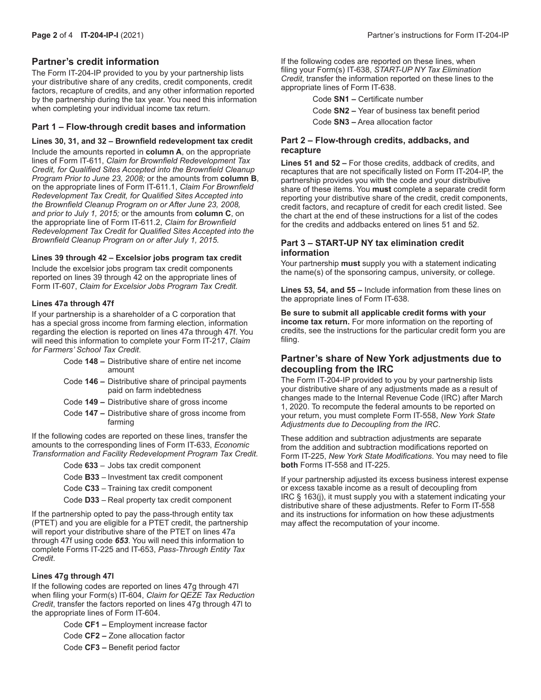#### **Partner's credit information**

The Form IT-204-IP provided to you by your partnership lists your distributive share of any credits, credit components, credit factors, recapture of credits, and any other information reported by the partnership during the tax year. You need this information when completing your individual income tax return.

#### **Part 1 – Flow-through credit bases and information**

**Lines 30, 31, and 32 – Brownfield redevelopment tax credit** Include the amounts reported in **column A**, on the appropriate lines of Form IT-611, *Claim for Brownfield Redevelopment Tax Credit, for Qualified Sites Accepted into the Brownfield Cleanup Program Prior to June 23, 2008;* or the amounts from **column B**, on the appropriate lines of Form IT-611.1, *Claim For Brownfield Redevelopment Tax Credit, for Qualified Sites Accepted into the Brownfield Cleanup Program on or After June 23, 2008, and prior to July 1, 2015;* or the amounts from **column C**, on the appropriate line of Form IT-611.2, *Claim for Brownfield Redevelopment Tax Credit for Qualified Sites Accepted into the Brownfield Cleanup Program on or after July 1, 2015.*

#### **Lines 39 through 42 – Excelsior jobs program tax credit**

Include the excelsior jobs program tax credit components reported on lines 39 through 42 on the appropriate lines of Form IT-607, *Claim for Excelsior Jobs Program Tax Credit.*

#### **Lines 47a through 47f**

If your partnership is a shareholder of a C corporation that has a special gross income from farming election, information regarding the election is reported on lines 47a through 47f. You will need this information to complete your Form IT-217, *Claim for Farmers' School Tax Credit*.

- Code **148 –** Distributive share of entire net income amount
- Code **146 –** Distributive share of principal payments paid on farm indebtedness
- Code **149 –** Distributive share of gross income
- Code **147 –** Distributive share of gross income from farming

If the following codes are reported on these lines, transfer the amounts to the corresponding lines of Form IT-633, *Economic Transformation and Facility Redevelopment Program Tax Credit*.

Code **633** – Jobs tax credit component

Code **B33** – Investment tax credit component

- Code **C33** Training tax credit component
- Code **D33** Real property tax credit component

If the partnership opted to pay the pass-through entity tax (PTET) and you are eligible for a PTET credit, the partnership will report your distributive share of the PTET on lines 47a through 47f using code *653*. You will need this information to complete Forms IT-225 and IT-653, *Pass-Through Entity Tax Credit*.

#### **Lines 47g through 47l**

If the following codes are reported on lines 47g through 47l when filing your Form(s) IT-604, *Claim for QEZE Tax Reduction Credit*, transfer the factors reported on lines 47g through 47l to the appropriate lines of Form IT-604.

Code **CF1 –** Employment increase factor

- Code **CF2 –** Zone allocation factor
- Code **CF3 –** Benefit period factor

If the following codes are reported on these lines, when filing your Form(s) IT-638, *START-UP NY Tax Elimination Credit*, transfer the information reported on these lines to the appropriate lines of Form IT-638.

Code **SN1 –** Certificate number

Code **SN2 –** Year of business tax benefit period

Code **SN3 –** Area allocation factor

#### **Part 2 – Flow-through credits, addbacks, and recapture**

**Lines 51 and 52 –** For those credits, addback of credits, and recaptures that are not specifically listed on Form IT-204-IP, the partnership provides you with the code and your distributive share of these items. You **must** complete a separate credit form reporting your distributive share of the credit, credit components, credit factors, and recapture of credit for each credit listed. See the chart at the end of these instructions for a list of the codes for the credits and addbacks entered on lines 51 and 52.

#### **Part 3 – START-UP NY tax elimination credit information**

Your partnership **must** supply you with a statement indicating the name(s) of the sponsoring campus, university, or college.

**Lines 53, 54, and 55 –** Include information from these lines on the appropriate lines of Form IT-638.

**Be sure to submit all applicable credit forms with your income tax return.** For more information on the reporting of credits, see the instructions for the particular credit form you are filing.

#### **Partner's share of New York adjustments due to decoupling from the IRC**

The Form IT-204-IP provided to you by your partnership lists your distributive share of any adjustments made as a result of changes made to the Internal Revenue Code (IRC) after March 1, 2020. To recompute the federal amounts to be reported on your return, you must complete Form IT-558, *New York State Adjustments due to Decoupling from the IRC*.

These addition and subtraction adjustments are separate from the addition and subtraction modifications reported on Form IT-225, *New York State Modifications*. You may need to file **both** Forms IT-558 and IT-225.

If your partnership adjusted its excess business interest expense or excess taxable income as a result of decoupling from IRC § 163(j), it must supply you with a statement indicating your distributive share of these adjustments. Refer to Form IT-558 and its instructions for information on how these adjustments may affect the recomputation of your income.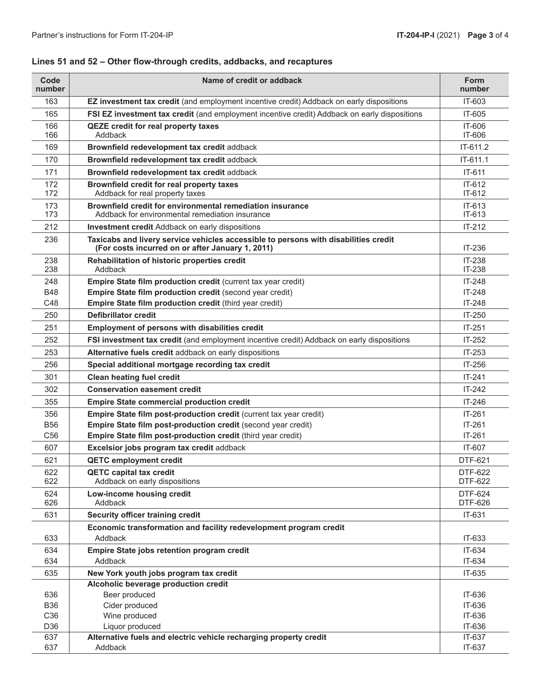| Code<br>number  | Name of credit or addback                                                                                                               | <b>Form</b><br>number     |
|-----------------|-----------------------------------------------------------------------------------------------------------------------------------------|---------------------------|
| 163             | EZ investment tax credit (and employment incentive credit) Addback on early dispositions                                                | IT-603                    |
| 165             | FSI EZ investment tax credit (and employment incentive credit) Addback on early dispositions                                            | IT-605                    |
| 166<br>166      | <b>QEZE</b> credit for real property taxes<br>Addback                                                                                   | IT-606<br>IT-606          |
| 169             | Brownfield redevelopment tax credit addback                                                                                             | IT-611.2                  |
| 170             | Brownfield redevelopment tax credit addback                                                                                             | IT-611.1                  |
| 171             | Brownfield redevelopment tax credit addback                                                                                             | IT-611                    |
| 172<br>172      | Brownfield credit for real property taxes<br>Addback for real property taxes                                                            | $IT-612$<br>$IT-612$      |
| 173<br>173      | Brownfield credit for environmental remediation insurance<br>Addback for environmental remediation insurance                            | $IT-613$<br>$IT-613$      |
| 212             | <b>Investment credit Addback on early dispositions</b>                                                                                  | $IT-212$                  |
| 236             | Taxicabs and livery service vehicles accessible to persons with disabilities credit<br>(For costs incurred on or after January 1, 2011) | IT-236                    |
| 238             | Rehabilitation of historic properties credit                                                                                            | IT-238                    |
| 238             | Addback                                                                                                                                 | IT-238                    |
| 248             | Empire State film production credit (current tax year credit)                                                                           | $IT-248$                  |
| <b>B48</b>      | Empire State film production credit (second year credit)                                                                                | $IT-248$                  |
| C48             | Empire State film production credit (third year credit)                                                                                 | $IT-248$                  |
| 250             | <b>Defibrillator credit</b>                                                                                                             | IT-250                    |
| 251             | Employment of persons with disabilities credit                                                                                          | $IT-251$                  |
| 252             | FSI investment tax credit (and employment incentive credit) Addback on early dispositions                                               | $IT-252$                  |
| 253             | Alternative fuels credit addback on early dispositions                                                                                  | IT-253                    |
| 256             | Special additional mortgage recording tax credit                                                                                        | IT-256                    |
| 301             | <b>Clean heating fuel credit</b>                                                                                                        | $IT-241$                  |
| 302             | <b>Conservation easement credit</b>                                                                                                     | $IT-242$                  |
| 355             | <b>Empire State commercial production credit</b>                                                                                        | $IT-246$                  |
| 356             | Empire State film post-production credit (current tax year credit)                                                                      | $IT-261$                  |
| <b>B56</b>      | Empire State film post-production credit (second year credit)                                                                           | $IT-261$                  |
| C <sub>56</sub> | Empire State film post-production credit (third year credit)                                                                            | $IT-261$                  |
| 607             | Excelsior jobs program tax credit addback                                                                                               | IT-607                    |
| 621             | <b>QETC employment credit</b>                                                                                                           | <b>DTF-621</b>            |
| 622<br>622      | <b>QETC capital tax credit</b><br>Addback on early dispositions                                                                         | DTF-622<br>DTF-622        |
| 624<br>626      | Low-income housing credit<br>Addback                                                                                                    | <b>DTF-624</b><br>DTF-626 |
| 631             | Security officer training credit                                                                                                        | IT-631                    |
|                 | Economic transformation and facility redevelopment program credit                                                                       |                           |
| 633             | Addback                                                                                                                                 | IT-633                    |
| 634             | Empire State jobs retention program credit                                                                                              | IT-634                    |
| 634             | Addback                                                                                                                                 | IT-634                    |
| 635             | New York youth jobs program tax credit                                                                                                  | IT-635                    |
|                 | Alcoholic beverage production credit                                                                                                    |                           |
| 636             | Beer produced                                                                                                                           | IT-636                    |
| <b>B36</b>      | Cider produced                                                                                                                          | IT-636                    |
| C <sub>36</sub> | Wine produced                                                                                                                           | IT-636                    |
| D36<br>637      | Liquor produced<br>Alternative fuels and electric vehicle recharging property credit                                                    | IT-636<br>IT-637          |
| 637             | Addback                                                                                                                                 | IT-637                    |
|                 |                                                                                                                                         |                           |

## **Lines 51 and 52 – Other flow-through credits, addbacks, and recaptures**